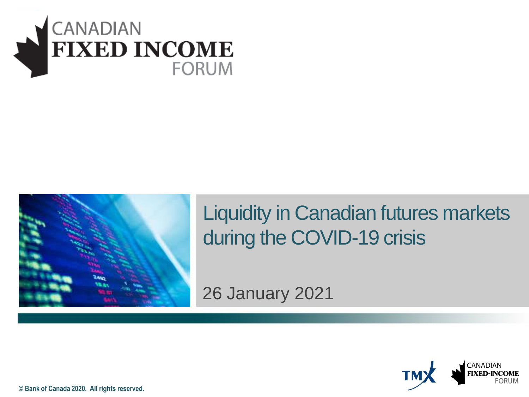



#### Liquidity in Canadian futures markets during the COVID-19 crisis

26 January 2021



**© Bank of Canada 2020. All rights reserved.**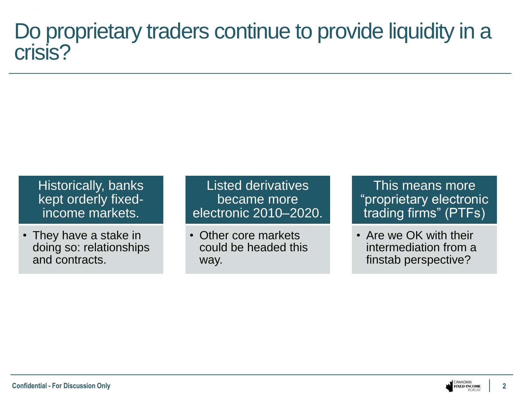#### Do proprietary traders continue to provide liquidity in a crisis?

**Historically, banks** kept orderly fixedincome markets.

• They have a stake in doing so: relationships and contracts.

Listed derivatives became more electronic 2010–2020.

• Other core markets could be headed this way.

This means more "proprietary electronic trading firms" (PTFs)

• Are we OK with their intermediation from a finstab perspective?

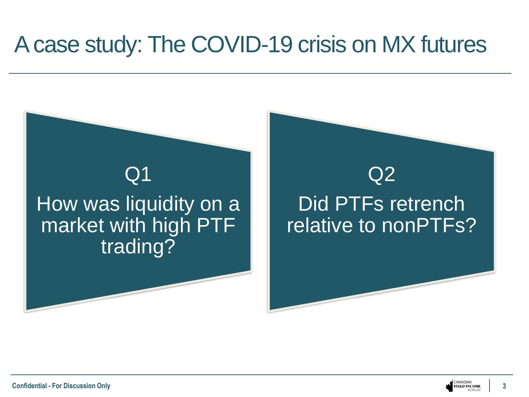#### A case study: The COVID-19 crisis on MX futures



**3**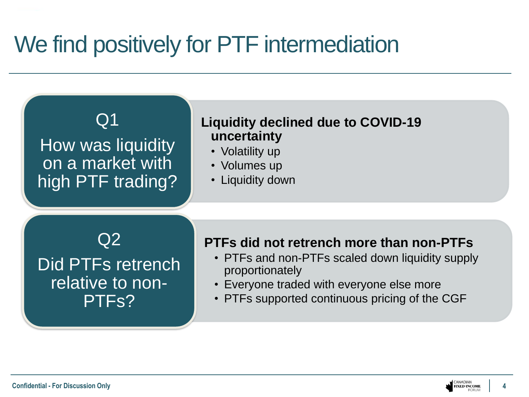# We find positively for PTF intermediation



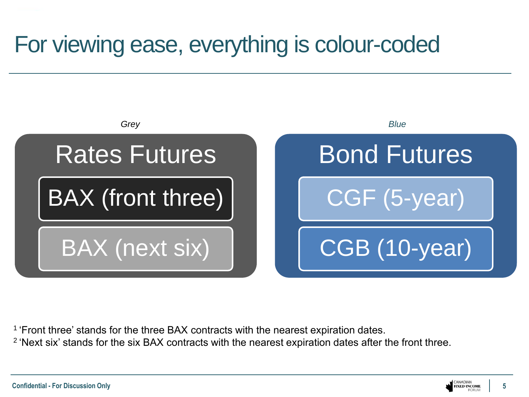# For viewing ease, everything is colour-coded



<sup>1</sup> 'Front three' stands for the three BAX contracts with the nearest expiration dates.

<sup>2</sup> 'Next six' stands for the six BAX contracts with the nearest expiration dates after the front three.

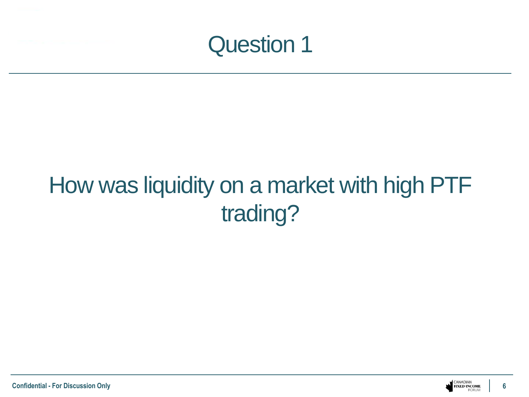

# How was liquidity on a market with high PTF trading?

**6**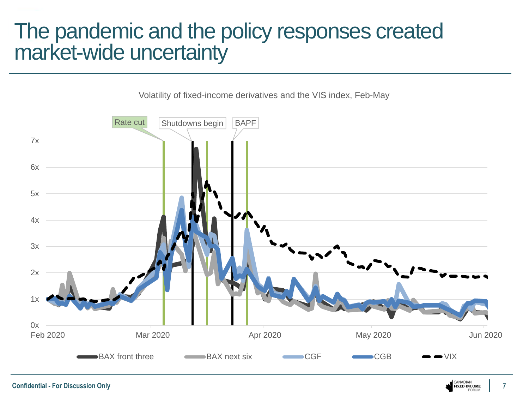#### The pandemic and the policy responses created market-wide uncertainty

Volatility of fixed-income derivatives and the VIS index, Feb-May

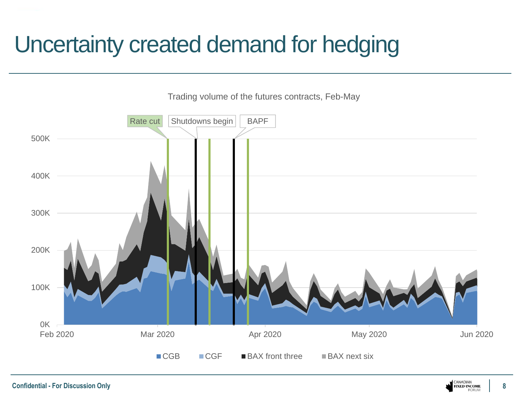# Uncertainty created demand for hedging



**Confidential - For Discussion Only**

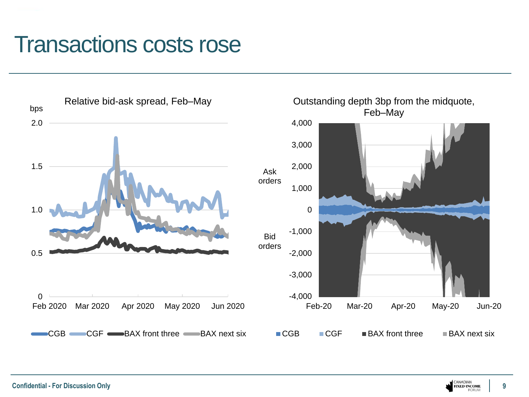#### Transactions costs rose



**9**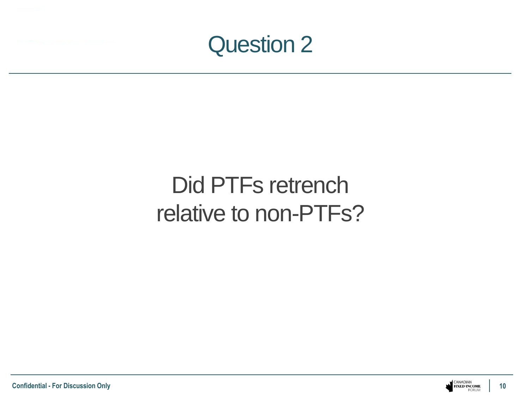

# Did PTFs retrench relative to non-PTFs?

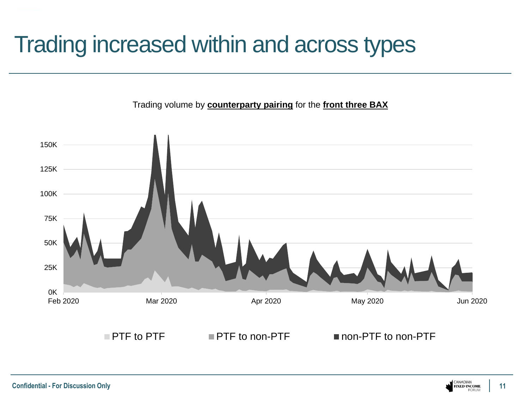### Trading increased within and across types

Trading volume by **counterparty pairing** for the **front three BAX**

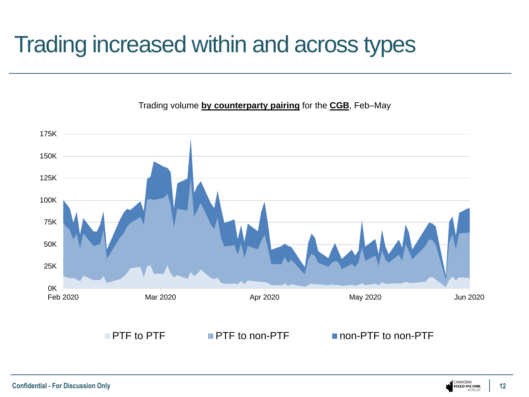# Trading increased within and across types



Trading volume **by counterparty pairing** for the **CGB**, Feb–May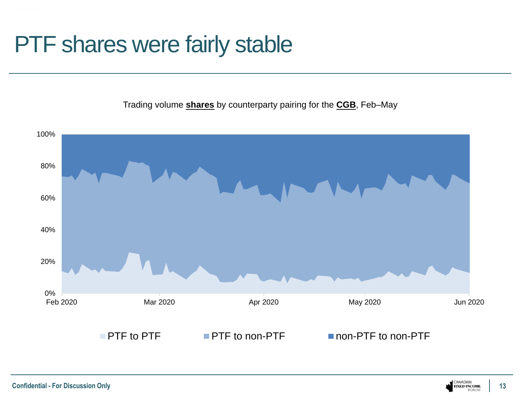### PTF shares were fairly stable

Trading volume **shares** by counterparty pairing for the **CGB**, Feb–May

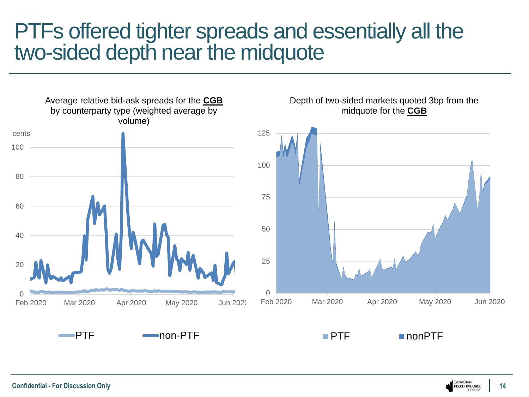#### PTFs offered tighter spreads and essentially all the two-sided depth near the midquote

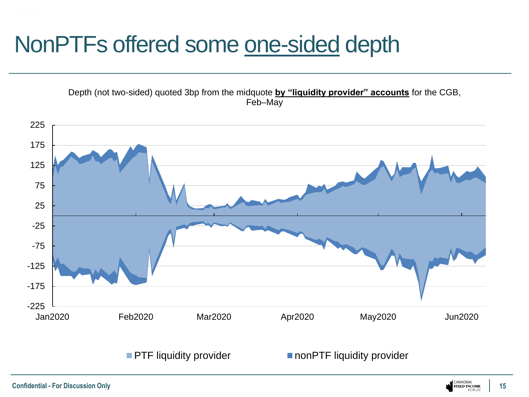# NonPTFs offered some one-sided depth

Depth (not two-sided) quoted 3bp from the midquote **by "liquidity provider" accounts** for the CGB, Feb–May



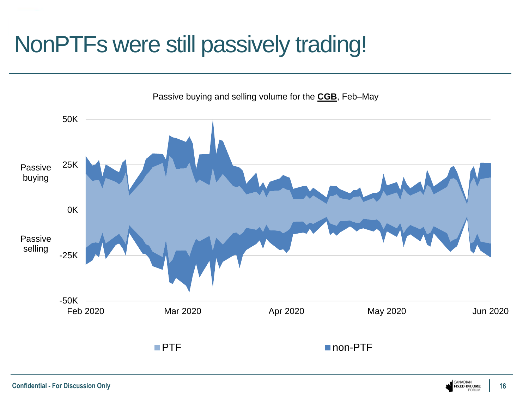# NonPTFs were still passively trading!



Passive buying and selling volume for the **CGB**, Feb–May

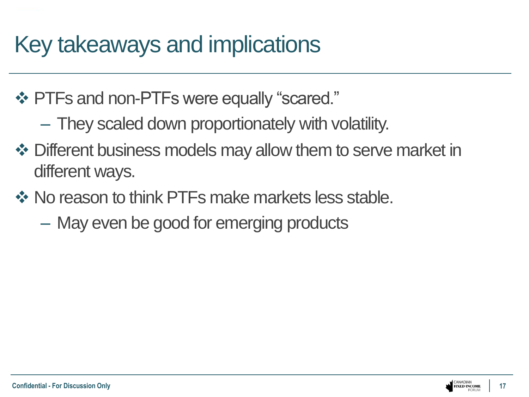# Key takeaways and implications

- ❖ PTFs and non-PTFs were equally "scared."
	- They scaled down proportionately with volatility.
- ❖ Different business models may allow them to serve market in different ways.
- ❖ No reason to think PTFs make markets less stable.
	- May even be good for emerging products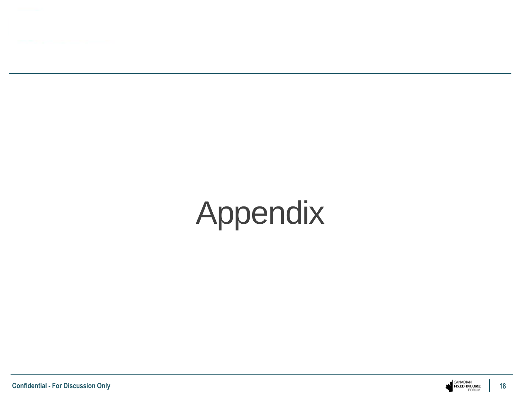

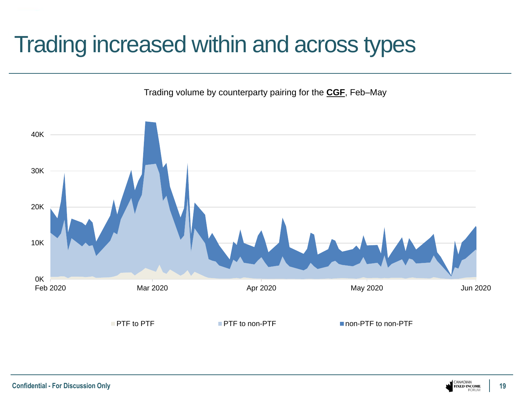## Trading increased within and across types

Trading volume by counterparty pairing for the **CGF**, Feb–May

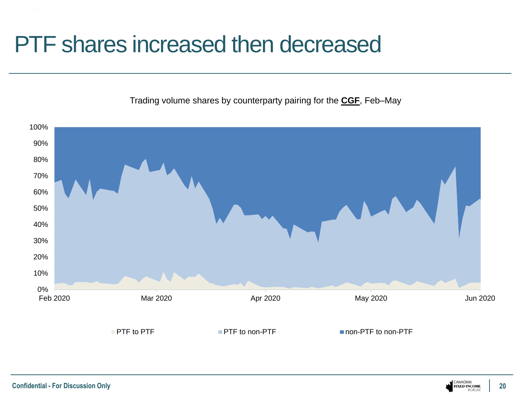#### PTF shares increased then decreased

Trading volume shares by counterparty pairing for the **CGF**, Feb–May

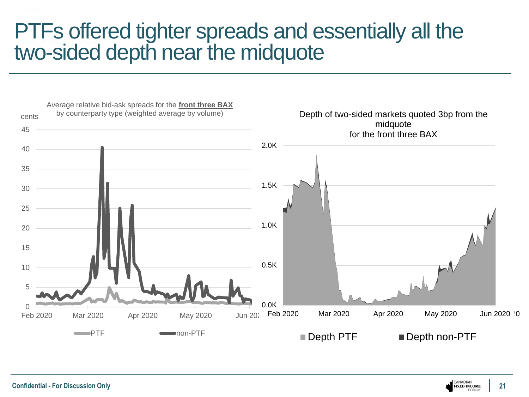#### PTFs offered tighter spreads and essentially all the two-sided depth near the midquote



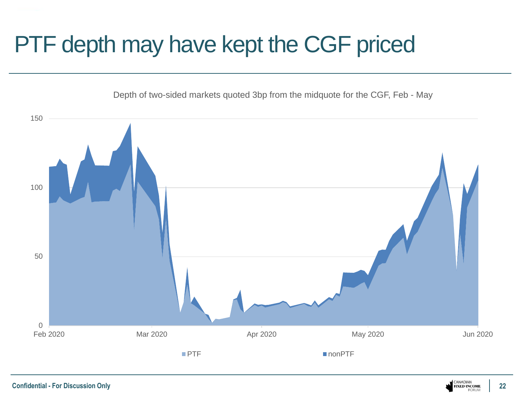# PTF depth may have kept the CGF priced

Depth of two-sided markets quoted 3bp from the midquote for the CGF, Feb - May



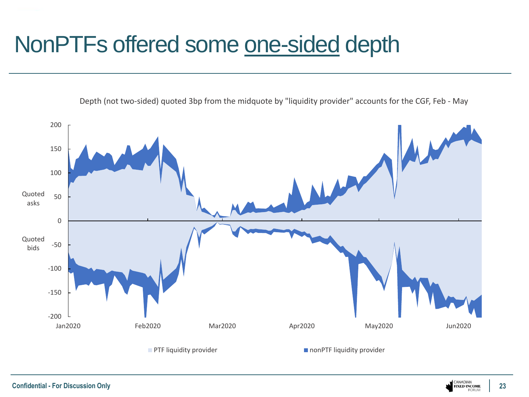# NonPTFs offered some one-sided depth

Depth (not two-sided) quoted 3bp from the midquote by "liquidity provider" accounts for the CGF, Feb - May